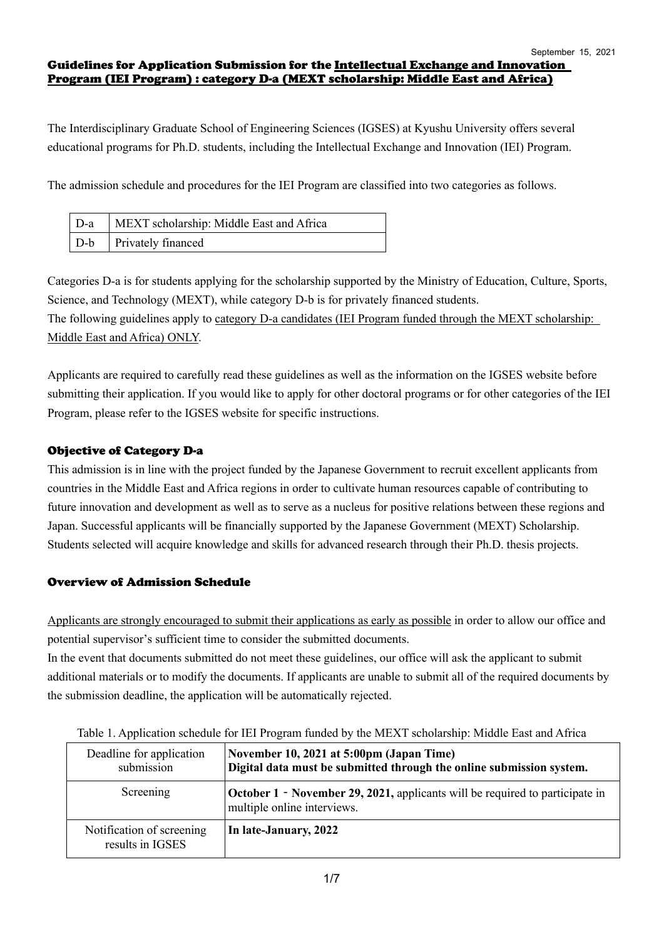### Guidelines for Application Submission for the Intellectual Exchange and Innovation Program (IEI Program) : category D-a (MEXT scholarship: Middle East and Africa)

The Interdisciplinary Graduate School of Engineering Sciences (IGSES) at Kyushu University offers several educational programs for Ph.D. students, including the Intellectual Exchange and Innovation (IEI) Program.

The admission schedule and procedures for the IEI Program are classified into two categories as follows.

| D-a   MEXT scholarship: Middle East and Africa |
|------------------------------------------------|
| D-b   Privately financed                       |

Categories D-a is for students applying for the scholarship supported by the Ministry of Education, Culture, Sports, Science, and Technology (MEXT), while category D-b is for privately financed students. The following guidelines apply to category D-a candidates (IEI Program funded through the MEXT scholarship:

Middle East and Africa) ONLY.

Applicants are required to carefully read these guidelines as well as the information on the IGSES website before submitting their application. If you would like to apply for other doctoral programs or for other categories of the IEI Program, please refer to the IGSES website for specific instructions.

## Objective of Category D-a

This admission is in line with the project funded by the Japanese Government to recruit excellent applicants from countries in the Middle East and Africa regions in order to cultivate human resources capable of contributing to future innovation and development as well as to serve as a nucleus for positive relations between these regions and Japan. Successful applicants will be financially supported by the Japanese Government (MEXT) Scholarship. Students selected will acquire knowledge and skills for advanced research through their Ph.D. thesis projects.

## Overview of Admission Schedule

Applicants are strongly encouraged to submit their applications as early as possible in order to allow our office and potential supervisor's sufficient time to consider the submitted documents.

In the event that documents submitted do not meet these guidelines, our office will ask the applicant to submit additional materials or to modify the documents. If applicants are unable to submit all of the required documents by the submission deadline, the application will be automatically rejected.

| Deadline for application<br>submission        | November 10, 2021 at 5:00pm (Japan Time)<br>Digital data must be submitted through the online submission system.   |  |
|-----------------------------------------------|--------------------------------------------------------------------------------------------------------------------|--|
| Screening                                     | <b>October 1 - November 29, 2021, applicants will be required to participate in</b><br>multiple online interviews. |  |
| Notification of screening<br>results in IGSES | In late-January, 2022                                                                                              |  |

Table 1. Application schedule for IEI Program funded by the MEXT scholarship: Middle East and Africa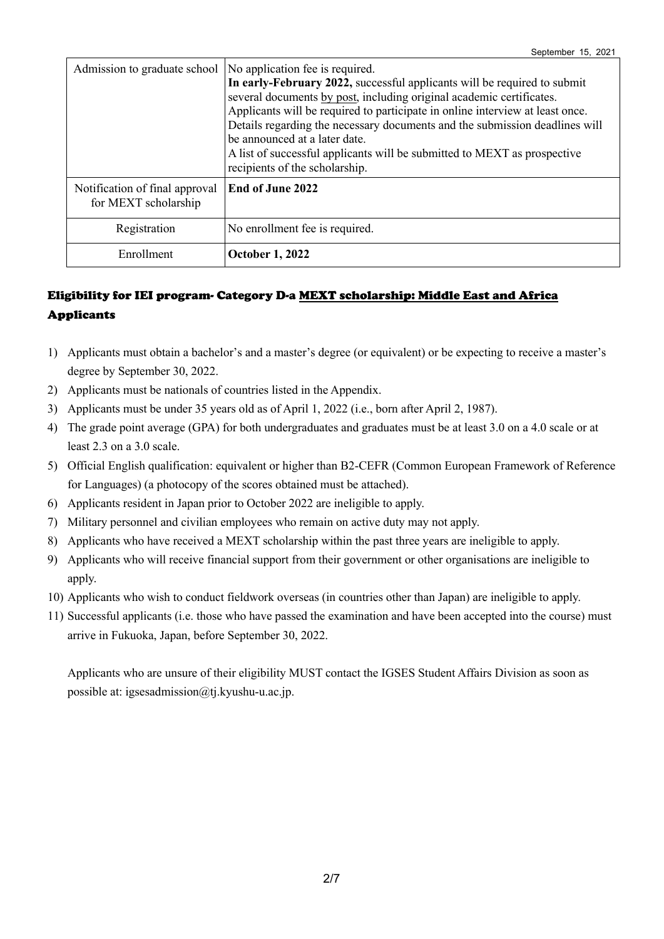| Admission to graduate school                           | No application fee is required.<br>In early-February 2022, successful applicants will be required to submit<br>several documents by post, including original academic certificates.<br>Applicants will be required to participate in online interview at least once.<br>Details regarding the necessary documents and the submission deadlines will<br>be announced at a later date.<br>A list of successful applicants will be submitted to MEXT as prospective<br>recipients of the scholarship. |
|--------------------------------------------------------|----------------------------------------------------------------------------------------------------------------------------------------------------------------------------------------------------------------------------------------------------------------------------------------------------------------------------------------------------------------------------------------------------------------------------------------------------------------------------------------------------|
| Notification of final approval<br>for MEXT scholarship | End of June 2022                                                                                                                                                                                                                                                                                                                                                                                                                                                                                   |
| Registration                                           | No enrollment fee is required.                                                                                                                                                                                                                                                                                                                                                                                                                                                                     |
| Enrollment                                             | <b>October 1, 2022</b>                                                                                                                                                                                                                                                                                                                                                                                                                                                                             |

# Eligibility for IEI program- Category D-a MEXT scholarship: Middle East and Africa Applicants

- 1) Applicants must obtain a bachelor's and a master's degree (or equivalent) or be expecting to receive a master's degree by September 30, 2022.
- 2) Applicants must be nationals of countries listed in the Appendix.
- 3) Applicants must be under 35 years old as of April 1, 2022 (i.e., born after April 2, 1987).
- 4) The grade point average (GPA) for both undergraduates and graduates must be at least 3.0 on a 4.0 scale or at least 2.3 on a 3.0 scale.
- 5) Official English qualification: equivalent or higher than B2-CEFR (Common European Framework of Reference for Languages) (a photocopy of the scores obtained must be attached).
- 6) Applicants resident in Japan prior to October 2022 are ineligible to apply.
- 7) Military personnel and civilian employees who remain on active duty may not apply.
- 8) Applicants who have received a MEXT scholarship within the past three years are ineligible to apply.
- 9) Applicants who will receive financial support from their government or other organisations are ineligible to apply.
- 10) Applicants who wish to conduct fieldwork overseas (in countries other than Japan) are ineligible to apply.
- 11) Successful applicants (i.e. those who have passed the examination and have been accepted into the course) must arrive in Fukuoka, Japan, before September 30, 2022.

Applicants who are unsure of their eligibility MUST contact the IGSES Student Affairs Division as soon as possible at: igsesadmission@tj.kyushu-u.ac.jp.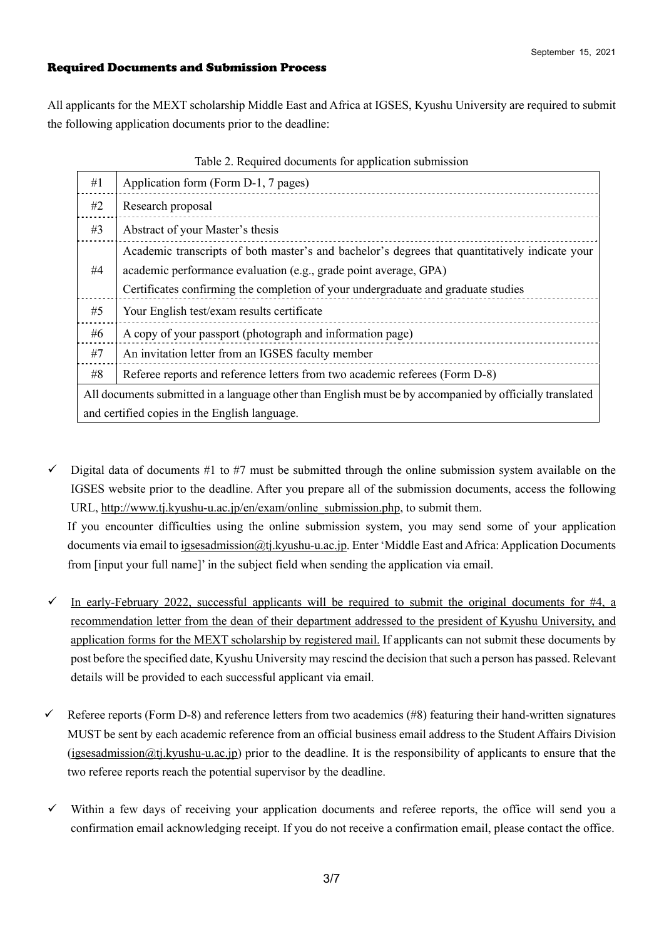### Required Documents and Submission Process

All applicants for the MEXT scholarship Middle East and Africa at IGSES, Kyushu University are required to submit the following application documents prior to the deadline:

| #1                                                                                                       | Application form (Form D-1, 7 pages)                                                                                                                               |  |
|----------------------------------------------------------------------------------------------------------|--------------------------------------------------------------------------------------------------------------------------------------------------------------------|--|
| #2                                                                                                       | Research proposal                                                                                                                                                  |  |
| #3                                                                                                       | Abstract of your Master's thesis                                                                                                                                   |  |
| #4                                                                                                       | Academic transcripts of both master's and bachelor's degrees that quantitatively indicate your<br>academic performance evaluation (e.g., grade point average, GPA) |  |
|                                                                                                          | Certificates confirming the completion of your undergraduate and graduate studies                                                                                  |  |
| #5                                                                                                       | Your English test/exam results certificate                                                                                                                         |  |
| #6                                                                                                       | A copy of your passport (photograph and information page)                                                                                                          |  |
| #7                                                                                                       | An invitation letter from an IGSES faculty member                                                                                                                  |  |
| #8                                                                                                       | Referee reports and reference letters from two academic referees (Form D-8)                                                                                        |  |
| All documents submitted in a language other than English must be by accompanied by officially translated |                                                                                                                                                                    |  |
| and certified copies in the English language.                                                            |                                                                                                                                                                    |  |

#### Table 2. Required documents for application submission

 $\checkmark$  Digital data of documents #1 to #7 must be submitted through the online submission system available on the IGSES website prior to the deadline. After you prepare all of the submission documents, access the following URL, http://www.tj.kyushu-u.ac.jp/en/exam/online\_submission.php, to submit them.

If you encounter difficulties using the online submission system, you may send some of your application documents via email to igsesadmission@tj.kyushu-u.ac.jp. Enter 'Middle East and Africa: Application Documents from [input your full name]' in the subject field when sending the application via email.

- In early-February 2022, successful applicants will be required to submit the original documents for  $#4$ , a recommendation letter from the dean of their department addressed to the president of Kyushu University, and application forms for the MEXT scholarship by registered mail. If applicants can not submit these documents by post before the specified date, Kyushu University may rescind the decision that such a person has passed. Relevant details will be provided to each successful applicant via email.
- Referee reports (Form D-8) and reference letters from two academics (#8) featuring their hand-written signatures MUST be sent by each academic reference from an official business email address to the Student Affairs Division (igsesadmission@tj.kyushu-u.ac.jp) prior to the deadline. It is the responsibility of applicants to ensure that the two referee reports reach the potential supervisor by the deadline.
- $\checkmark$  Within a few days of receiving your application documents and referee reports, the office will send you a confirmation email acknowledging receipt. If you do not receive a confirmation email, please contact the office.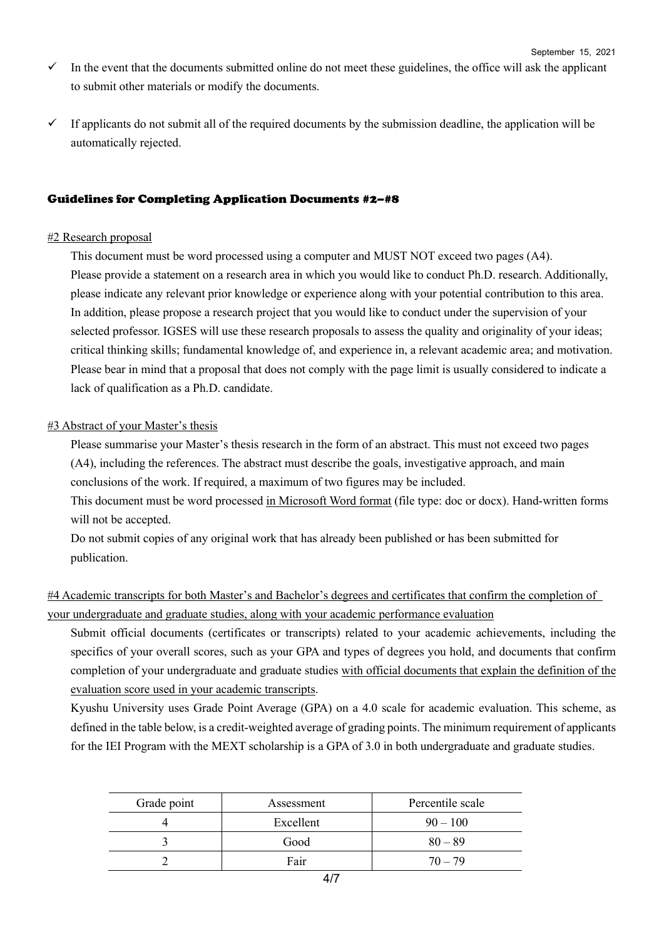- $\checkmark$  In the event that the documents submitted online do not meet these guidelines, the office will ask the applicant to submit other materials or modify the documents.
- $\checkmark$  If applicants do not submit all of the required documents by the submission deadline, the application will be automatically rejected.

### Guidelines for Completing Application Documents #2–#8

### #2 Research proposal

This document must be word processed using a computer and MUST NOT exceed two pages (A4). Please provide a statement on a research area in which you would like to conduct Ph.D. research. Additionally, please indicate any relevant prior knowledge or experience along with your potential contribution to this area. In addition, please propose a research project that you would like to conduct under the supervision of your selected professor. IGSES will use these research proposals to assess the quality and originality of your ideas; critical thinking skills; fundamental knowledge of, and experience in, a relevant academic area; and motivation. Please bear in mind that a proposal that does not comply with the page limit is usually considered to indicate a lack of qualification as a Ph.D. candidate.

### #3 Abstract of your Master's thesis

Please summarise your Master's thesis research in the form of an abstract. This must not exceed two pages (A4), including the references. The abstract must describe the goals, investigative approach, and main conclusions of the work. If required, a maximum of two figures may be included.

This document must be word processed in Microsoft Word format (file type: doc or docx). Hand-written forms will not be accepted.

Do not submit copies of any original work that has already been published or has been submitted for publication.

#4 Academic transcripts for both Master's and Bachelor's degrees and certificates that confirm the completion of your undergraduate and graduate studies, along with your academic performance evaluation

Submit official documents (certificates or transcripts) related to your academic achievements, including the specifics of your overall scores, such as your GPA and types of degrees you hold, and documents that confirm completion of your undergraduate and graduate studies with official documents that explain the definition of the evaluation score used in your academic transcripts.

Kyushu University uses Grade Point Average (GPA) on a 4.0 scale for academic evaluation. This scheme, as defined in the table below, is a credit-weighted average of grading points. The minimum requirement of applicants for the IEI Program with the MEXT scholarship is a GPA of 3.0 in both undergraduate and graduate studies.

| Grade point | Assessment | Percentile scale |
|-------------|------------|------------------|
|             | Excellent  | $90 - 100$       |
|             | Good       | $80 - 89$        |
|             | Fair       | $70 - 79$        |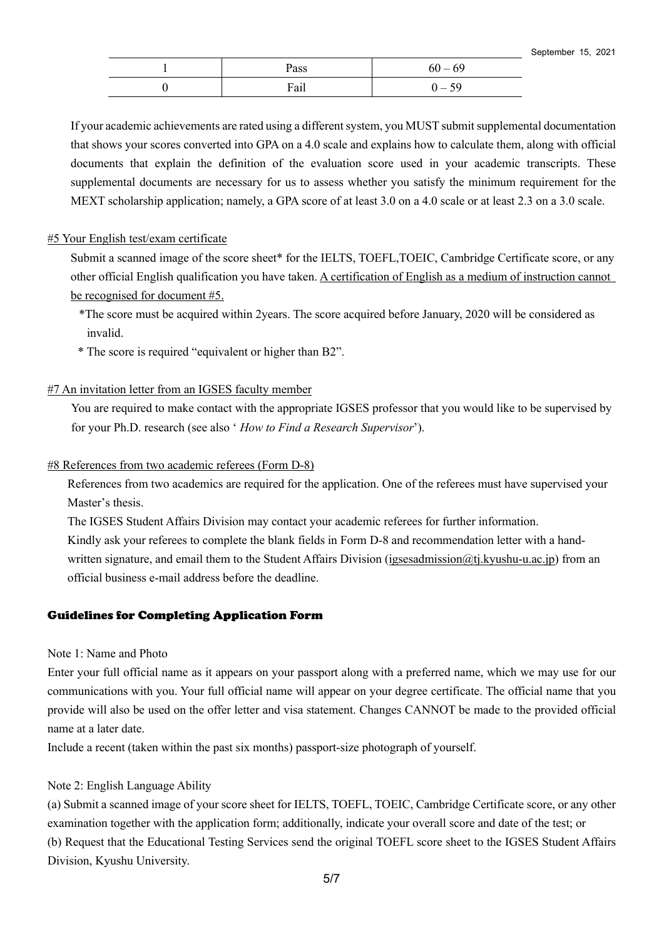| Pass | $60 - 69$                |
|------|--------------------------|
| Fail | $\overline{\phantom{a}}$ |

If your academic achievements are rated using a different system, you MUST submit supplemental documentation that shows your scores converted into GPA on a 4.0 scale and explains how to calculate them, along with official documents that explain the definition of the evaluation score used in your academic transcripts. These supplemental documents are necessary for us to assess whether you satisfy the minimum requirement for the MEXT scholarship application; namely, a GPA score of at least 3.0 on a 4.0 scale or at least 2.3 on a 3.0 scale.

### #5 Your English test/exam certificate

Submit a scanned image of the score sheet\* for the IELTS, TOEFL,TOEIC, Cambridge Certificate score, or any other official English qualification you have taken. A certification of English as a medium of instruction cannot be recognised for document #5.

- \*The score must be acquired within 2years. The score acquired before January, 2020 will be considered as invalid.
- \* The score is required "equivalent or higher than B2".

### #7 An invitation letter from an IGSES faculty member

You are required to make contact with the appropriate IGSES professor that you would like to be supervised by for your Ph.D. research (see also ' *How to Find a Research Supervisor*').

#### #8 References from two academic referees (Form D-8)

References from two academics are required for the application. One of the referees must have supervised your Master's thesis.

The IGSES Student Affairs Division may contact your academic referees for further information. Kindly ask your referees to complete the blank fields in Form D-8 and recommendation letter with a handwritten signature, and email them to the Student Affairs Division (igsesadmission@tj.kyushu-u.ac.jp) from an official business e-mail address before the deadline.

### Guidelines for Completing Application Form

#### Note 1: Name and Photo

Enter your full official name as it appears on your passport along with a preferred name, which we may use for our communications with you. Your full official name will appear on your degree certificate. The official name that you provide will also be used on the offer letter and visa statement. Changes CANNOT be made to the provided official name at a later date.

Include a recent (taken within the past six months) passport-size photograph of yourself.

### Note 2: English Language Ability

(a) Submit a scanned image of your score sheet for IELTS, TOEFL, TOEIC, Cambridge Certificate score, or any other examination together with the application form; additionally, indicate your overall score and date of the test; or (b) Request that the Educational Testing Services send the original TOEFL score sheet to the IGSES Student Affairs Division, Kyushu University.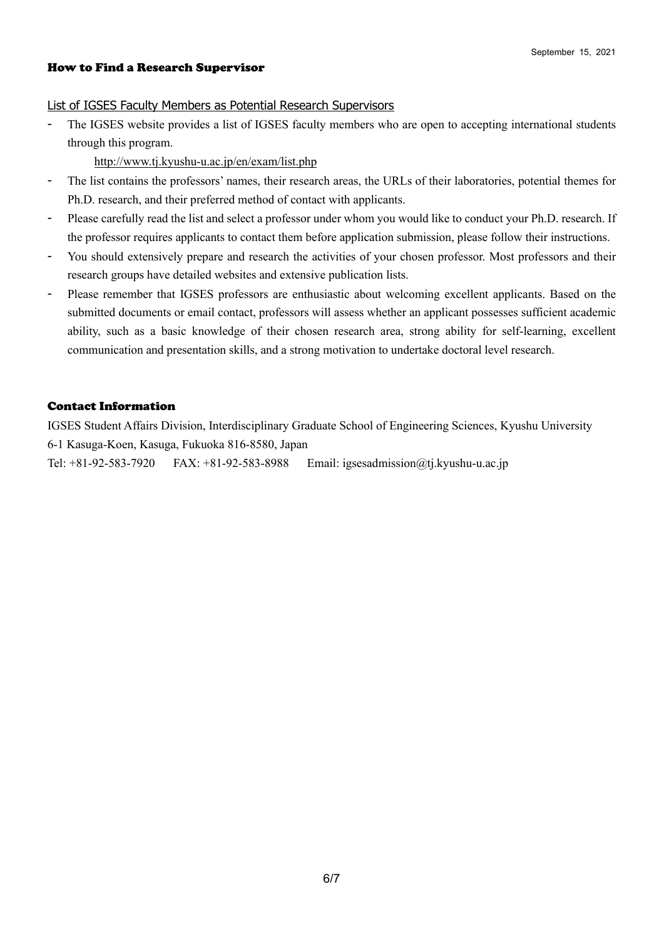#### How to Find a Research Supervisor

#### List of IGSES Faculty Members as Potential Research Supervisors

The IGSES website provides a list of IGSES faculty members who are open to accepting international students through this program.

http://www.tj.kyushu-u.ac.jp/en/exam/list.php

- The list contains the professors' names, their research areas, the URLs of their laboratories, potential themes for Ph.D. research, and their preferred method of contact with applicants.
- Please carefully read the list and select a professor under whom you would like to conduct your Ph.D. research. If the professor requires applicants to contact them before application submission, please follow their instructions.
- You should extensively prepare and research the activities of your chosen professor. Most professors and their research groups have detailed websites and extensive publication lists.
- Please remember that IGSES professors are enthusiastic about welcoming excellent applicants. Based on the submitted documents or email contact, professors will assess whether an applicant possesses sufficient academic ability, such as a basic knowledge of their chosen research area, strong ability for self-learning, excellent communication and presentation skills, and a strong motivation to undertake doctoral level research.

### Contact Information

IGSES Student Affairs Division, Interdisciplinary Graduate School of Engineering Sciences, Kyushu University 6-1 Kasuga-Koen, Kasuga, Fukuoka 816-8580, Japan

Tel: +81-92-583-7920 FAX: +81-92-583-8988 Email: igsesadmission@tj.kyushu-u.ac.jp